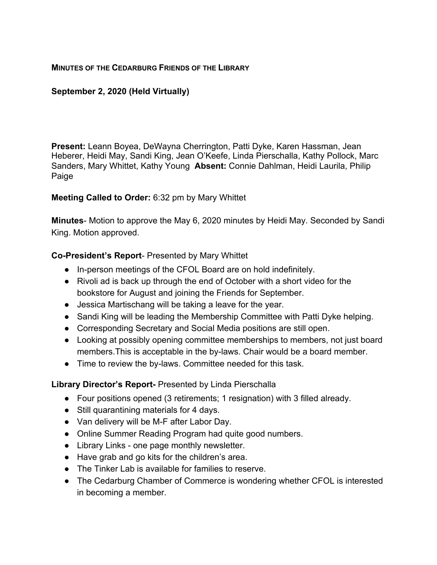#### **MINUTES OF THE CEDARBURG FRIENDS OF THE LIBRARY**

# **September 2, 2020 (Held Virtually)**

**Present:** Leann Boyea, DeWayna Cherrington, Patti Dyke, Karen Hassman, Jean Heberer, Heidi May, Sandi King, Jean O'Keefe, Linda Pierschalla, Kathy Pollock, Marc Sanders, Mary Whittet, Kathy Young **Absent:** Connie Dahlman, Heidi Laurila, Philip Paige

#### **Meeting Called to Order:** 6:32 pm by Mary Whittet

**Minutes**- Motion to approve the May 6, 2020 minutes by Heidi May. Seconded by Sandi King. Motion approved.

#### **Co-President's Report**- Presented by Mary Whittet

- In-person meetings of the CFOL Board are on hold indefinitely.
- Rivoli ad is back up through the end of October with a short video for the bookstore for August and joining the Friends for September.
- Jessica Martischang will be taking a leave for the year.
- Sandi King will be leading the Membership Committee with Patti Dyke helping.
- Corresponding Secretary and Social Media positions are still open.
- Looking at possibly opening committee memberships to members, not just board members.This is acceptable in the by-laws. Chair would be a board member.
- Time to review the by-laws. Committee needed for this task.

## **Library Director's Report-** Presented by Linda Pierschalla

- Four positions opened (3 retirements; 1 resignation) with 3 filled already.
- Still quarantining materials for 4 days.
- Van delivery will be M-F after Labor Day.
- Online Summer Reading Program had quite good numbers.
- Library Links one page monthly newsletter.
- Have grab and go kits for the children's area.
- The Tinker Lab is available for families to reserve.
- The Cedarburg Chamber of Commerce is wondering whether CFOL is interested in becoming a member.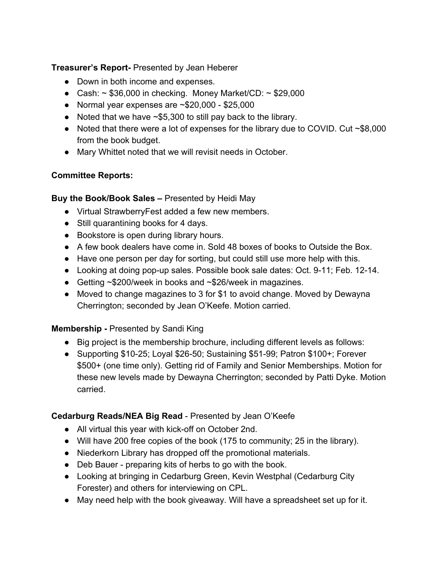# **Treasurer's Report-** Presented by Jean Heberer

- Down in both income and expenses.
- Cash:  $\sim$  \$36,000 in checking. Money Market/CD:  $\sim$  \$29,000
- Normal year expenses are  $\sim$ \$20,000 \$25,000
- Noted that we have  $\sim$ \$5,300 to still pay back to the library.
- Noted that there were a lot of expenses for the library due to COVID. Cut ~\$8,000 from the book budget.
- Mary Whittet noted that we will revisit needs in October.

## **Committee Reports:**

## **Buy the Book/Book Sales –** Presented by Heidi May

- Virtual StrawberryFest added a few new members.
- Still quarantining books for 4 days.
- Bookstore is open during library hours.
- A few book dealers have come in. Sold 48 boxes of books to Outside the Box.
- Have one person per day for sorting, but could still use more help with this.
- Looking at doing pop-up sales. Possible book sale dates: Oct. 9-11; Feb. 12-14.
- Getting ~\$200/week in books and ~\$26/week in magazines.
- Moved to change magazines to 3 for \$1 to avoid change. Moved by Dewayna Cherrington; seconded by Jean O'Keefe. Motion carried.

# **Membership - Presented by Sandi King**

- Big project is the membership brochure, including different levels as follows:
- Supporting \$10-25; Loyal \$26-50; Sustaining \$51-99; Patron \$100+; Forever \$500+ (one time only). Getting rid of Family and Senior Memberships. Motion for these new levels made by Dewayna Cherrington; seconded by Patti Dyke. Motion carried.

# **Cedarburg Reads/NEA Big Read** - Presented by Jean O'Keefe

- All virtual this year with kick-off on October 2nd.
- Will have 200 free copies of the book (175 to community; 25 in the library).
- Niederkorn Library has dropped off the promotional materials.
- Deb Bauer preparing kits of herbs to go with the book.
- Looking at bringing in Cedarburg Green, Kevin Westphal (Cedarburg City Forester) and others for interviewing on CPL.
- May need help with the book giveaway. Will have a spreadsheet set up for it.